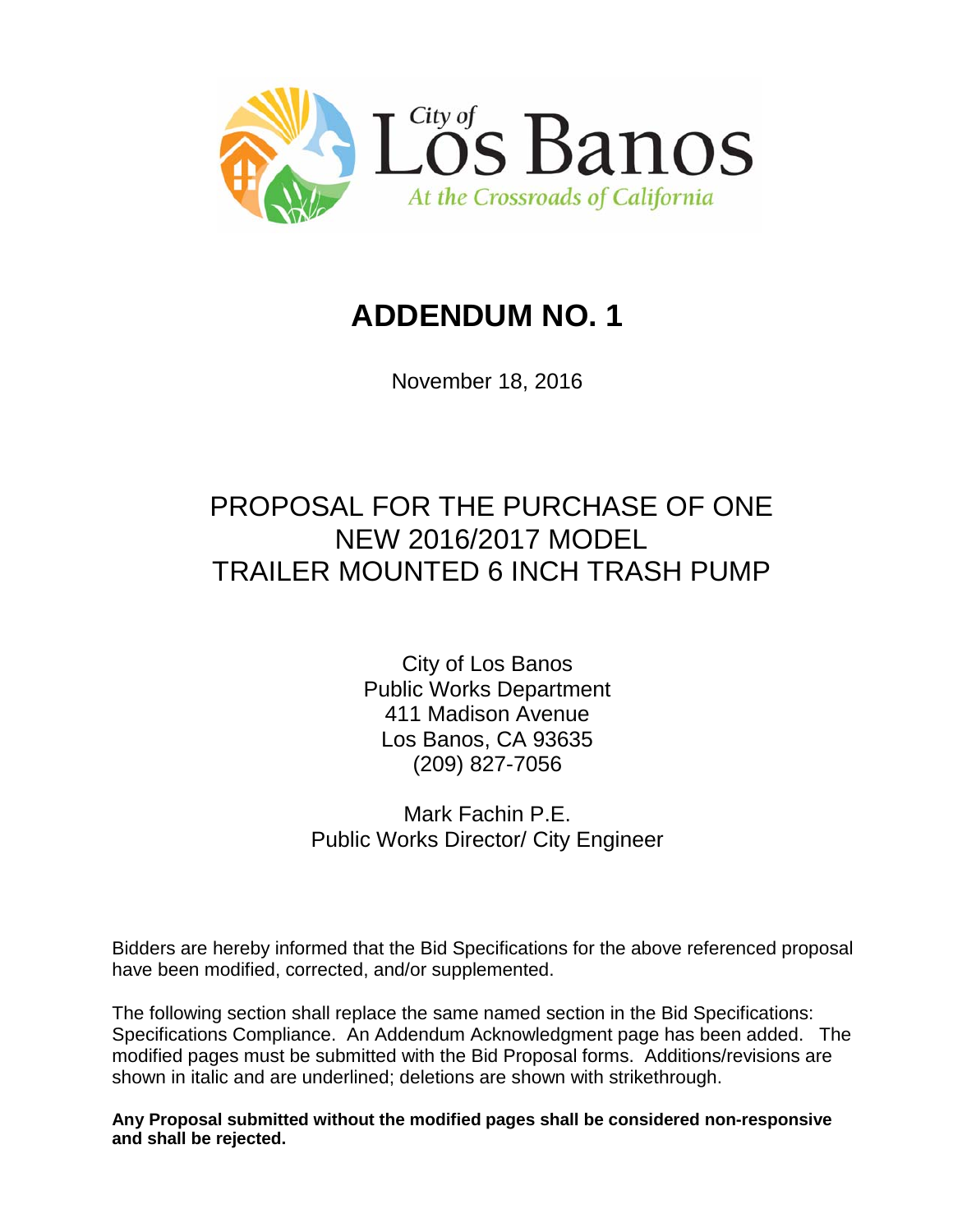

# **ADDENDUM NO. 1**

November 18, 2016

# PROPOSAL FOR THE PURCHASE OF ONE NEW 2016/2017 MODEL TRAILER MOUNTED 6 INCH TRASH PUMP

City of Los Banos Public Works Department 411 Madison Avenue Los Banos, CA 93635 (209) 827-7056

Mark Fachin P.E. Public Works Director/ City Engineer

Bidders are hereby informed that the Bid Specifications for the above referenced proposal have been modified, corrected, and/or supplemented.

The following section shall replace the same named section in the Bid Specifications: Specifications Compliance. An Addendum Acknowledgment page has been added. The modified pages must be submitted with the Bid Proposal forms. Additions/revisions are shown in italic and are underlined; deletions are shown with strikethrough.

**Any Proposal submitted without the modified pages shall be considered non-responsive and shall be rejected.**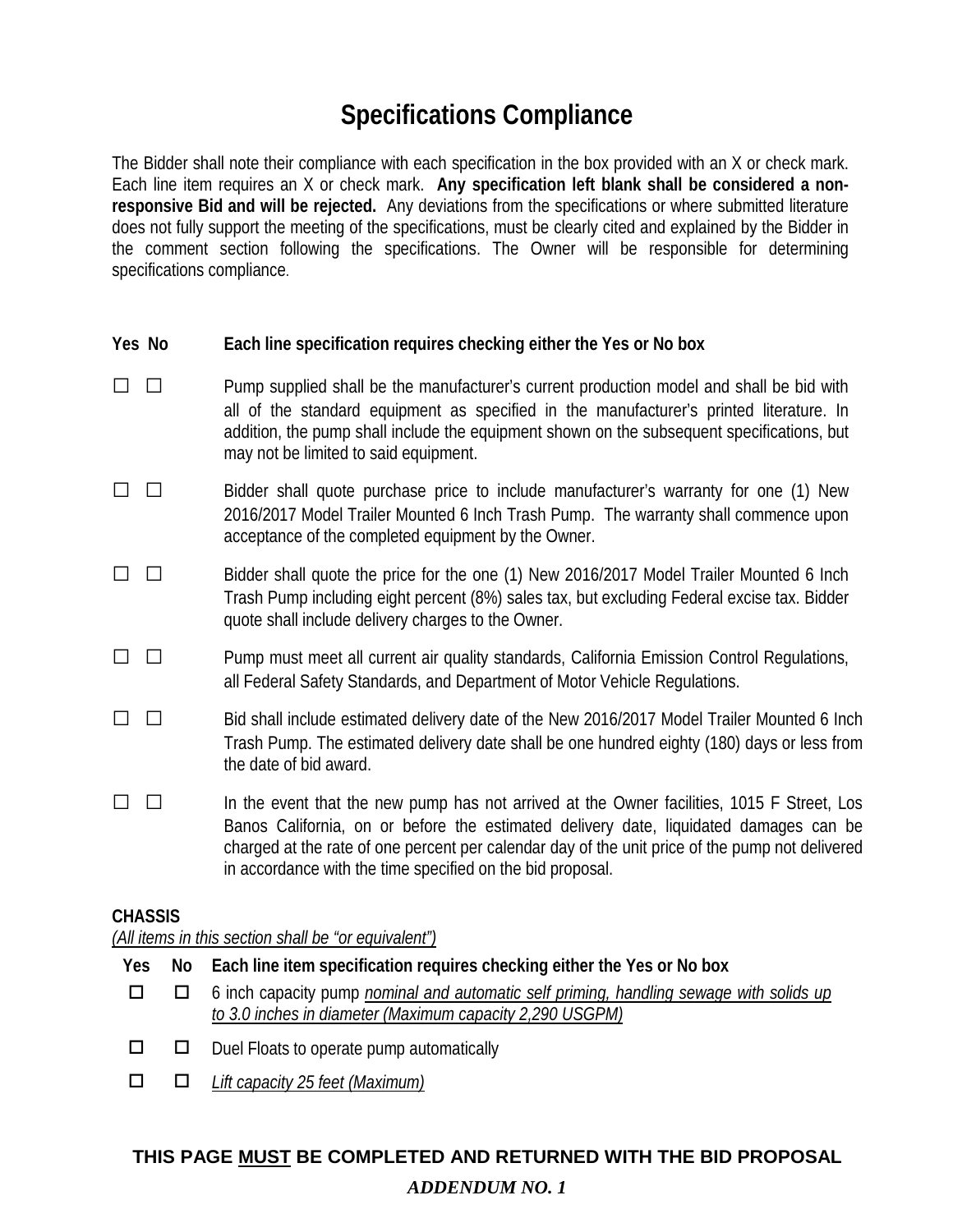# **Specifications Compliance**

The Bidder shall note their compliance with each specification in the box provided with an X or check mark. Each line item requires an X or check mark. **Any specification left blank shall be considered a nonresponsive Bid and will be rejected.** Any deviations from the specifications or where submitted literature does not fully support the meeting of the specifications, must be clearly cited and explained by the Bidder in the comment section following the specifications. The Owner will be responsible for determining specifications compliance.

#### **Yes No Each line specification requires checking either the Yes or No box**

- $\Box$   $\Box$  Pump supplied shall be the manufacturer's current production model and shall be bid with all of the standard equipment as specified in the manufacturer's printed literature. In addition, the pump shall include the equipment shown on the subsequent specifications, but may not be limited to said equipment.
- □ □ Bidder shall quote purchase price to include manufacturer's warranty for one (1) New 2016/2017 Model Trailer Mounted 6 Inch Trash Pump. The warranty shall commence upon acceptance of the completed equipment by the Owner.
- □ □ Bidder shall quote the price for the one (1) New 2016/2017 Model Trailer Mounted 6 Inch Trash Pump including eight percent (8%) sales tax, but excluding Federal excise tax. Bidder quote shall include delivery charges to the Owner.
- □ □ Pump must meet all current air quality standards, California Emission Control Regulations, all Federal Safety Standards, and Department of Motor Vehicle Regulations.
- □ □ Bid shall include estimated delivery date of the New 2016/2017 Model Trailer Mounted 6 Inch Trash Pump. The estimated delivery date shall be one hundred eighty (180) days or less from the date of bid award.
- □ □ In the event that the new pump has not arrived at the Owner facilities, 1015 F Street, Los Banos California, on or before the estimated delivery date, liquidated damages can be charged at the rate of one percent per calendar day of the unit price of the pump not delivered in accordance with the time specified on the bid proposal.

#### **CHASSIS**

*(All items in this section shall be "or equivalent")*

- **Yes No Each line item specification requires checking either the Yes or No box**
- 6 inch capacity pump *nominal and automatic self priming, handling sewage with solids up to 3.0 inches in diameter (Maximum capacity 2,290 USGPM)*
- $\square$   $\square$  Duel Floats to operate pump automatically
- *Lift capacity 25 feet (Maximum)*

#### **THIS PAGE MUST BE COMPLETED AND RETURNED WITH THE BID PROPOSAL**

### *ADDENDUM NO. 1*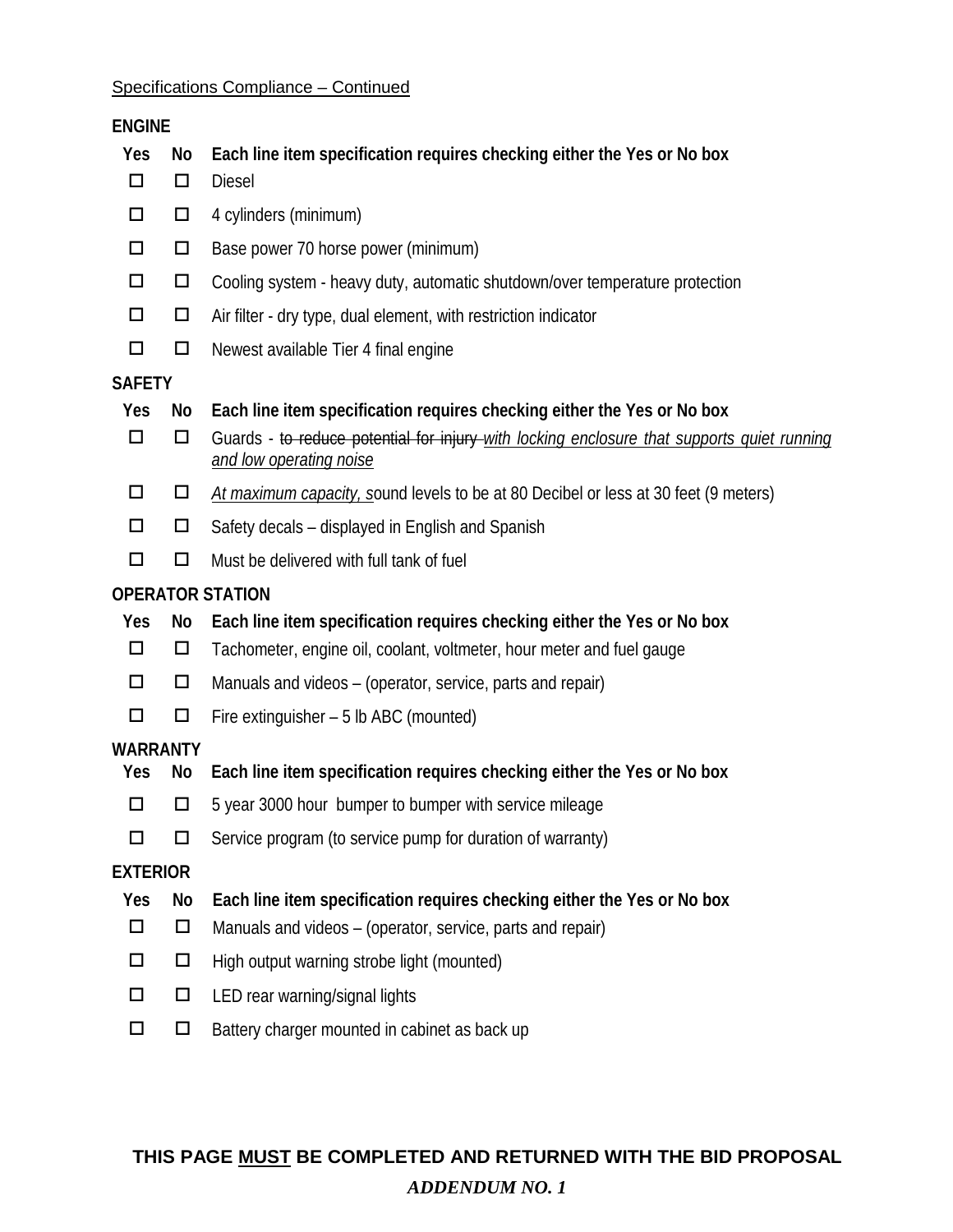### Specifications Compliance – Continued

| <b>ENGINE</b>   |                         |                                                                                                                       |  |  |
|-----------------|-------------------------|-----------------------------------------------------------------------------------------------------------------------|--|--|
| Yes             | No                      | Each line item specification requires checking either the Yes or No box                                               |  |  |
| □               | □                       | <b>Diesel</b>                                                                                                         |  |  |
| $\Box$          | □                       | 4 cylinders (minimum)                                                                                                 |  |  |
| $\Box$          | □                       | Base power 70 horse power (minimum)                                                                                   |  |  |
| $\Box$          | □                       | Cooling system - heavy duty, automatic shutdown/over temperature protection                                           |  |  |
| $\Box$          | □                       | Air filter - dry type, dual element, with restriction indicator                                                       |  |  |
| $\Box$          | □                       | Newest available Tier 4 final engine                                                                                  |  |  |
| <b>SAFETY</b>   |                         |                                                                                                                       |  |  |
| Yes             | No                      | Each line item specification requires checking either the Yes or No box                                               |  |  |
| $\Box$          | $\Box$                  | Guards - to reduce potential for injury-with locking enclosure that supports quiet running<br>and low operating noise |  |  |
| $\Box$          | □                       | At maximum capacity, sound levels to be at 80 Decibel or less at 30 feet (9 meters)                                   |  |  |
| $\Box$          | ◻                       | Safety decals - displayed in English and Spanish                                                                      |  |  |
| $\Box$          | □                       | Must be delivered with full tank of fuel                                                                              |  |  |
|                 | <b>OPERATOR STATION</b> |                                                                                                                       |  |  |
| Yes             | No                      | Each line item specification requires checking either the Yes or No box                                               |  |  |
| $\Box$          | □                       | Tachometer, engine oil, coolant, voltmeter, hour meter and fuel gauge                                                 |  |  |
| $\Box$          | $\Box$                  | Manuals and videos - (operator, service, parts and repair)                                                            |  |  |
| $\Box$          | $\Box$                  | Fire extinguisher - 5 lb ABC (mounted)                                                                                |  |  |
| <b>WARRANTY</b> |                         |                                                                                                                       |  |  |
| Yes             | No                      | Each line item specification requires checking either the Yes or No box                                               |  |  |
| $\Box$          | □                       | 5 year 3000 hour bumper to bumper with service mileage                                                                |  |  |
| □               | □                       | Service program (to service pump for duration of warranty)                                                            |  |  |
|                 | <b>EXTERIOR</b>         |                                                                                                                       |  |  |
| Yes             | No                      | Each line item specification requires checking either the Yes or No box                                               |  |  |
| $\Box$          | $\Box$                  | Manuals and videos - (operator, service, parts and repair)                                                            |  |  |
| $\Box$          | $\Box$                  | High output warning strobe light (mounted)                                                                            |  |  |
| $\Box$          | □                       | LED rear warning/signal lights                                                                                        |  |  |
| $\Box$          | □                       | Battery charger mounted in cabinet as back up                                                                         |  |  |

### **THIS PAGE MUST BE COMPLETED AND RETURNED WITH THE BID PROPOSAL**

#### *ADDENDUM NO. 1*